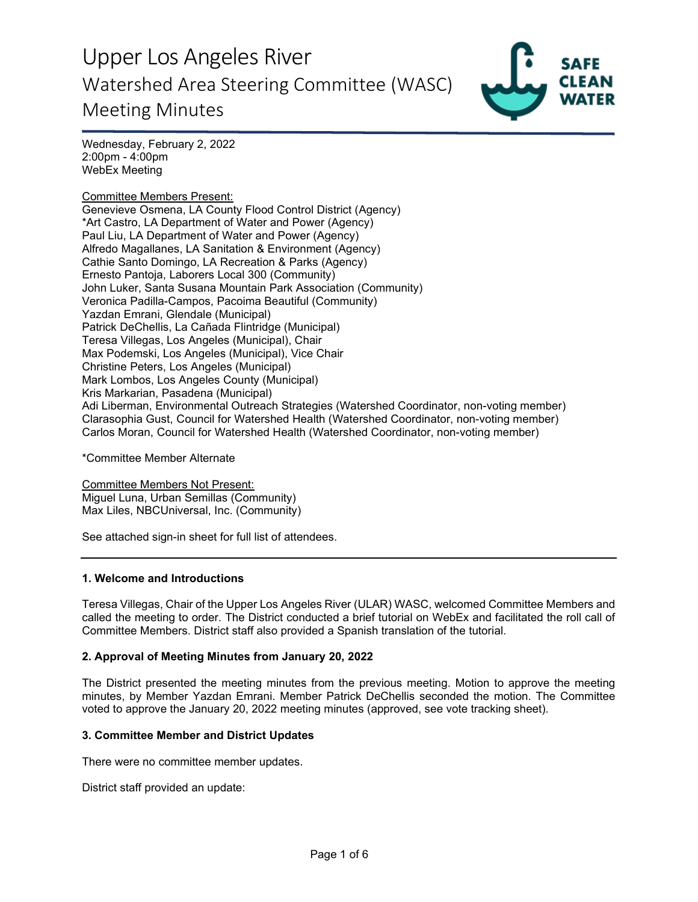

Wednesday, February 2, 2022 2:00pm - 4:00pm WebEx Meeting

Committee Members Present: Genevieve Osmena, LA County Flood Control District (Agency) \*Art Castro, LA Department of Water and Power (Agency) Paul Liu, LA Department of Water and Power (Agency) Alfredo Magallanes, LA Sanitation & Environment (Agency) Cathie Santo Domingo, LA Recreation & Parks (Agency) Ernesto Pantoja, Laborers Local 300 (Community) John Luker, Santa Susana Mountain Park Association (Community) Veronica Padilla-Campos, Pacoima Beautiful (Community) Yazdan Emrani, Glendale (Municipal) Patrick DeChellis, La Cañada Flintridge (Municipal) Teresa Villegas, Los Angeles (Municipal), Chair Max Podemski, Los Angeles (Municipal), Vice Chair Christine Peters, Los Angeles (Municipal) Mark Lombos, Los Angeles County (Municipal) Kris Markarian, Pasadena (Municipal) Adi Liberman, Environmental Outreach Strategies (Watershed Coordinator, non-voting member) Clarasophia Gust, Council for Watershed Health (Watershed Coordinator, non-voting member) Carlos Moran, Council for Watershed Health (Watershed Coordinator, non-voting member)

\*Committee Member Alternate

Committee Members Not Present: Miguel Luna, Urban Semillas (Community) Max Liles, NBCUniversal, Inc. (Community)

See attached sign-in sheet for full list of attendees.

#### **1. Welcome and Introductions**

Teresa Villegas, Chair of the Upper Los Angeles River (ULAR) WASC, welcomed Committee Members and called the meeting to order. The District conducted a brief tutorial on WebEx and facilitated the roll call of Committee Members. District staff also provided a Spanish translation of the tutorial.

### **2. Approval of Meeting Minutes from January 20, 2022**

The District presented the meeting minutes from the previous meeting. Motion to approve the meeting minutes, by Member Yazdan Emrani. Member Patrick DeChellis seconded the motion. The Committee voted to approve the January 20, 2022 meeting minutes (approved, see vote tracking sheet).

#### **3. Committee Member and District Updates**

There were no committee member updates.

District staff provided an update: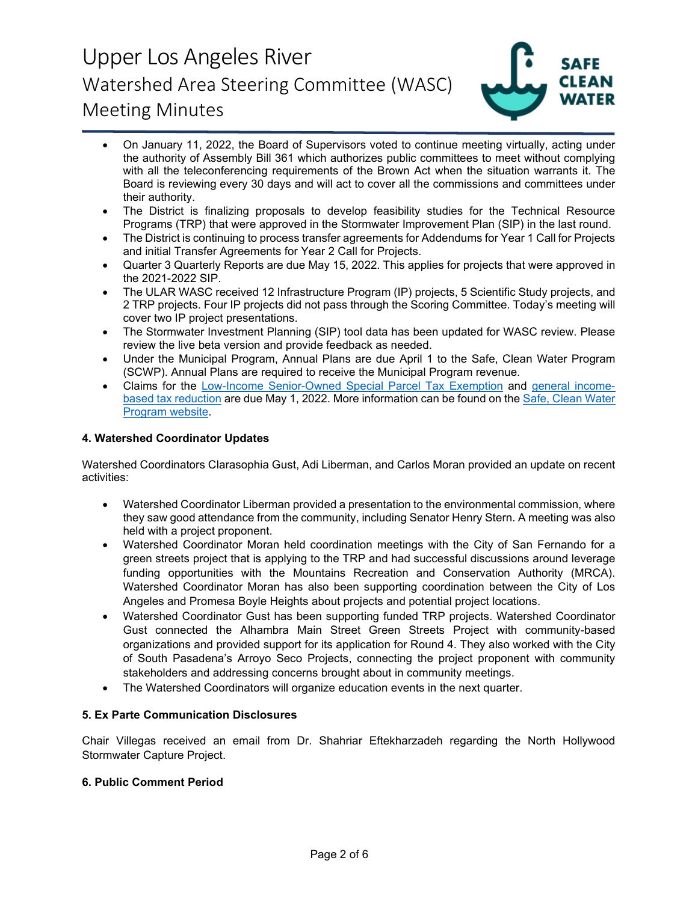

- On January 11, 2022, the Board of Supervisors voted to continue meeting virtually, acting under the authority of Assembly Bill 361 which authorizes public committees to meet without complying with all the teleconferencing requirements of the Brown Act when the situation warrants it. The Board is reviewing every 30 days and will act to cover all the commissions and committees under their authority.
- The District is finalizing proposals to develop feasibility studies for the Technical Resource Programs (TRP) that were approved in the Stormwater Improvement Plan (SIP) in the last round.
- The District is continuing to process transfer agreements for Addendums for Year 1 Call for Projects and initial Transfer Agreements for Year 2 Call for Projects.
- Quarter 3 Quarterly Reports are due May 15, 2022. This applies for projects that were approved in the 2021-2022 SIP.
- The ULAR WASC received 12 Infrastructure Program (IP) projects, 5 Scientific Study projects, and 2 TRP projects. Four IP projects did not pass through the Scoring Committee. Today's meeting will cover two IP project presentations.
- The Stormwater Investment Planning (SIP) tool data has been updated for WASC review. Please review the live beta version and provide feedback as needed.
- Under the Municipal Program, Annual Plans are due April 1 to the Safe, Clean Water Program (SCWP). Annual Plans are required to receive the Municipal Program revenue.
- Claims for the [Low-Income Senior-Owned Special Parcel Tax Exemption](https://safecleanwaterla.org/wp-content/uploads/2021/06/Low-Income-Senior-Owned-Parcel-Application-20210621.pdf) and [general income](https://safecleanwaterla.org/wp-content/uploads/2021/06/General-Income-Based-Tax-Reduction-Application-20210607.pdf)[based tax reduction](https://safecleanwaterla.org/wp-content/uploads/2021/06/General-Income-Based-Tax-Reduction-Application-20210607.pdf) are due May 1, 2022. More information can be found on the [Safe, Clean Water](https://safecleanwaterla.org/resources/tools/)  [Program website.](https://safecleanwaterla.org/resources/tools/)

### **4. Watershed Coordinator Updates**

Watershed Coordinators Clarasophia Gust, Adi Liberman, and Carlos Moran provided an update on recent activities:

- Watershed Coordinator Liberman provided a presentation to the environmental commission, where they saw good attendance from the community, including Senator Henry Stern. A meeting was also held with a project proponent.
- Watershed Coordinator Moran held coordination meetings with the City of San Fernando for a green streets project that is applying to the TRP and had successful discussions around leverage funding opportunities with the Mountains Recreation and Conservation Authority (MRCA). Watershed Coordinator Moran has also been supporting coordination between the City of Los Angeles and Promesa Boyle Heights about projects and potential project locations.
- Watershed Coordinator Gust has been supporting funded TRP projects. Watershed Coordinator Gust connected the Alhambra Main Street Green Streets Project with community-based organizations and provided support for its application for Round 4. They also worked with the City of South Pasadena's Arroyo Seco Projects, connecting the project proponent with community stakeholders and addressing concerns brought about in community meetings.
- The Watershed Coordinators will organize education events in the next quarter.

### **5. Ex Parte Communication Disclosures**

Chair Villegas received an email from Dr. Shahriar Eftekharzadeh regarding the North Hollywood Stormwater Capture Project.

### **6. Public Comment Period**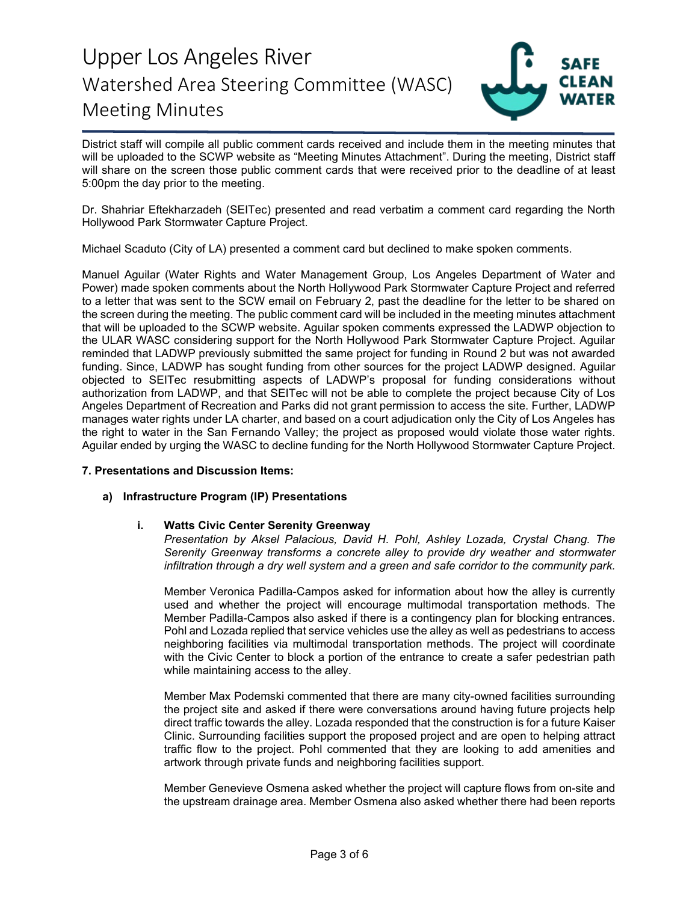

District staff will compile all public comment cards received and include them in the meeting minutes that will be uploaded to the SCWP website as "Meeting Minutes Attachment". During the meeting, District staff will share on the screen those public comment cards that were received prior to the deadline of at least 5:00pm the day prior to the meeting.

Dr. Shahriar Eftekharzadeh (SEITec) presented and read verbatim a comment card regarding the North Hollywood Park Stormwater Capture Project.

Michael Scaduto (City of LA) presented a comment card but declined to make spoken comments.

Manuel Aguilar (Water Rights and Water Management Group, Los Angeles Department of Water and Power) made spoken comments about the North Hollywood Park Stormwater Capture Project and referred to a letter that was sent to the SCW email on February 2, past the deadline for the letter to be shared on the screen during the meeting. The public comment card will be included in the meeting minutes attachment that will be uploaded to the SCWP website. Aguilar spoken comments expressed the LADWP objection to the ULAR WASC considering support for the North Hollywood Park Stormwater Capture Project. Aguilar reminded that LADWP previously submitted the same project for funding in Round 2 but was not awarded funding. Since, LADWP has sought funding from other sources for the project LADWP designed. Aguilar objected to SEITec resubmitting aspects of LADWP's proposal for funding considerations without authorization from LADWP, and that SEITec will not be able to complete the project because City of Los Angeles Department of Recreation and Parks did not grant permission to access the site. Further, LADWP manages water rights under LA charter, and based on a court adjudication only the City of Los Angeles has the right to water in the San Fernando Valley; the project as proposed would violate those water rights. Aguilar ended by urging the WASC to decline funding for the North Hollywood Stormwater Capture Project.

#### **7. Presentations and Discussion Items:**

### **a) Infrastructure Program (IP) Presentations**

#### **i. Watts Civic Center Serenity Greenway**

*Presentation by Aksel Palacious, David H. Pohl, Ashley Lozada, Crystal Chang. The Serenity Greenway transforms a concrete alley to provide dry weather and stormwater infiltration through a dry well system and a green and safe corridor to the community park.*

Member Veronica Padilla-Campos asked for information about how the alley is currently used and whether the project will encourage multimodal transportation methods. The Member Padilla-Campos also asked if there is a contingency plan for blocking entrances. Pohl and Lozada replied that service vehicles use the alley as well as pedestrians to access neighboring facilities via multimodal transportation methods. The project will coordinate with the Civic Center to block a portion of the entrance to create a safer pedestrian path while maintaining access to the alley.

Member Max Podemski commented that there are many city-owned facilities surrounding the project site and asked if there were conversations around having future projects help direct traffic towards the alley. Lozada responded that the construction is for a future Kaiser Clinic. Surrounding facilities support the proposed project and are open to helping attract traffic flow to the project. Pohl commented that they are looking to add amenities and artwork through private funds and neighboring facilities support.

Member Genevieve Osmena asked whether the project will capture flows from on-site and the upstream drainage area. Member Osmena also asked whether there had been reports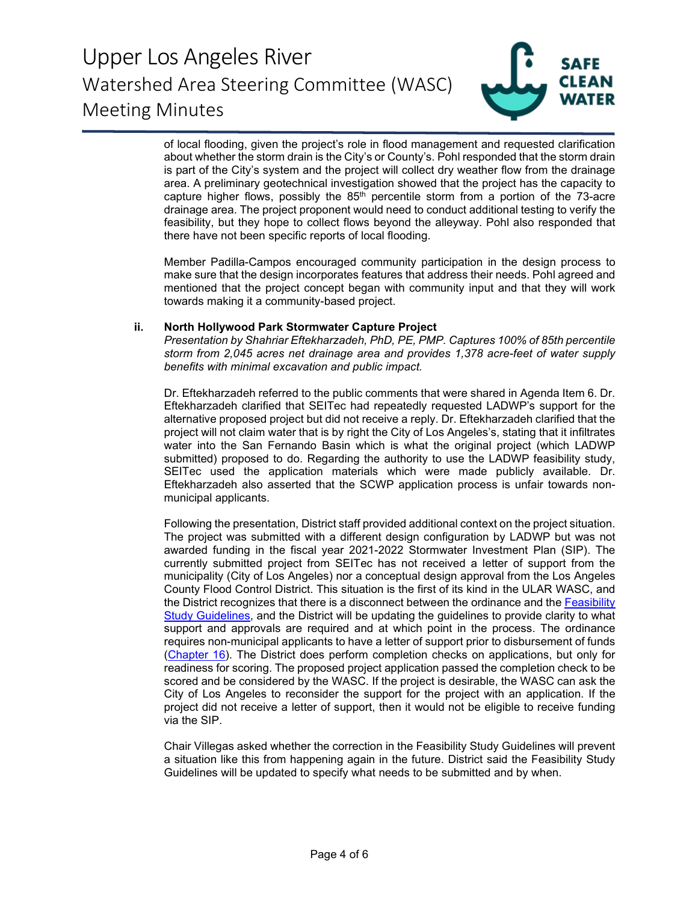

of local flooding, given the project's role in flood management and requested clarification about whether the storm drain is the City's or County's. Pohl responded that the storm drain is part of the City's system and the project will collect dry weather flow from the drainage area. A preliminary geotechnical investigation showed that the project has the capacity to capture higher flows, possibly the  $85<sup>th</sup>$  percentile storm from a portion of the 73-acre drainage area. The project proponent would need to conduct additional testing to verify the feasibility, but they hope to collect flows beyond the alleyway. Pohl also responded that there have not been specific reports of local flooding.

Member Padilla-Campos encouraged community participation in the design process to make sure that the design incorporates features that address their needs. Pohl agreed and mentioned that the project concept began with community input and that they will work towards making it a community-based project.

#### **ii. North Hollywood Park Stormwater Capture Project**

*Presentation by Shahriar Eftekharzadeh, PhD, PE, PMP. Captures 100% of 85th percentile storm from 2,045 acres net drainage area and provides 1,378 acre-feet of water supply benefits with minimal excavation and public impact.*

Dr. Eftekharzadeh referred to the public comments that were shared in Agenda Item 6. Dr. Eftekharzadeh clarified that SEITec had repeatedly requested LADWP's support for the alternative proposed project but did not receive a reply. Dr. Eftekharzadeh clarified that the project will not claim water that is by right the City of Los Angeles's, stating that it infiltrates water into the San Fernando Basin which is what the original project (which LADWP submitted) proposed to do. Regarding the authority to use the LADWP feasibility study, SEITec used the application materials which were made publicly available. Dr. Eftekharzadeh also asserted that the SCWP application process is unfair towards nonmunicipal applicants.

Following the presentation, District staff provided additional context on the project situation. The project was submitted with a different design configuration by LADWP but was not awarded funding in the fiscal year 2021-2022 Stormwater Investment Plan (SIP). The currently submitted project from SEITec has not received a letter of support from the municipality (City of Los Angeles) nor a conceptual design approval from the Los Angeles County Flood Control District. This situation is the first of its kind in the ULAR WASC, and the District recognizes that there is a disconnect between the ordinance and the [Feasibility](https://safecleanwaterla.org/wp-content/uploads/2019/09/Feasibility-Study-Guidelines-20190917-FINAL-1.pdf)  [Study Guidelines,](https://safecleanwaterla.org/wp-content/uploads/2019/09/Feasibility-Study-Guidelines-20190917-FINAL-1.pdf) and the District will be updating the guidelines to provide clarity to what support and approvals are required and at which point in the process. The ordinance requires non-municipal applicants to have a letter of support prior to disbursement of funds [\(Chapter 16\)](https://library.municode.com/ca/los_angeles_county/codes/code_of_ordinances?nodeId=FLCODICO_CH16LOANRESACLWAPRSPPATAPRSTURRUCARESTURRUPO). The District does perform completion checks on applications, but only for readiness for scoring. The proposed project application passed the completion check to be scored and be considered by the WASC. If the project is desirable, the WASC can ask the City of Los Angeles to reconsider the support for the project with an application. If the project did not receive a letter of support, then it would not be eligible to receive funding via the SIP.

Chair Villegas asked whether the correction in the Feasibility Study Guidelines will prevent a situation like this from happening again in the future. District said the Feasibility Study Guidelines will be updated to specify what needs to be submitted and by when.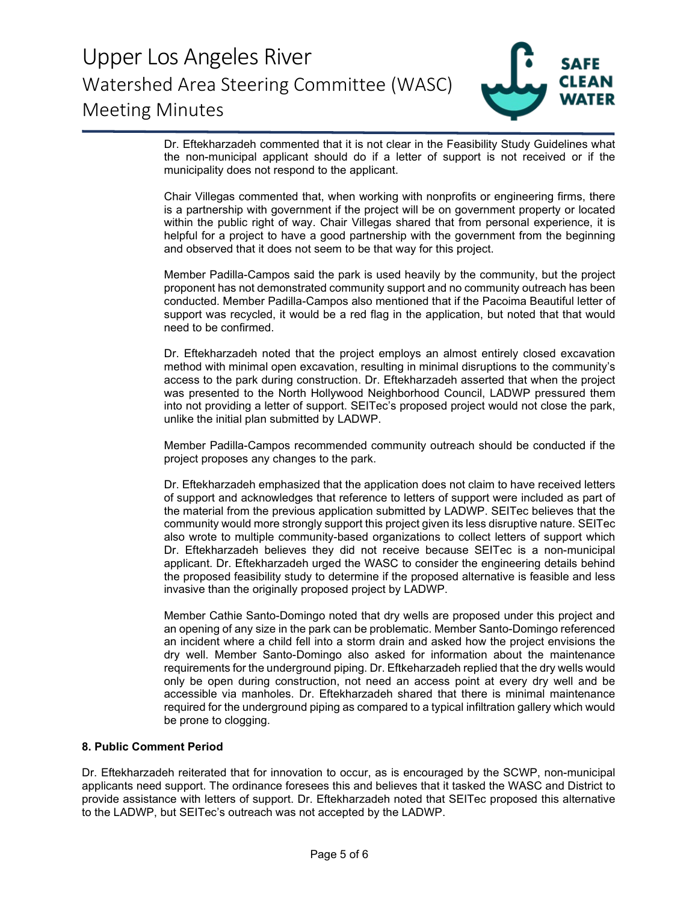

Dr. Eftekharzadeh commented that it is not clear in the Feasibility Study Guidelines what the non-municipal applicant should do if a letter of support is not received or if the municipality does not respond to the applicant.

Chair Villegas commented that, when working with nonprofits or engineering firms, there is a partnership with government if the project will be on government property or located within the public right of way. Chair Villegas shared that from personal experience, it is helpful for a project to have a good partnership with the government from the beginning and observed that it does not seem to be that way for this project.

Member Padilla-Campos said the park is used heavily by the community, but the project proponent has not demonstrated community support and no community outreach has been conducted. Member Padilla-Campos also mentioned that if the Pacoima Beautiful letter of support was recycled, it would be a red flag in the application, but noted that that would need to be confirmed.

Dr. Eftekharzadeh noted that the project employs an almost entirely closed excavation method with minimal open excavation, resulting in minimal disruptions to the community's access to the park during construction. Dr. Eftekharzadeh asserted that when the project was presented to the North Hollywood Neighborhood Council, LADWP pressured them into not providing a letter of support. SEITec's proposed project would not close the park, unlike the initial plan submitted by LADWP.

Member Padilla-Campos recommended community outreach should be conducted if the project proposes any changes to the park.

Dr. Eftekharzadeh emphasized that the application does not claim to have received letters of support and acknowledges that reference to letters of support were included as part of the material from the previous application submitted by LADWP. SEITec believes that the community would more strongly support this project given its less disruptive nature. SEITec also wrote to multiple community-based organizations to collect letters of support which Dr. Eftekharzadeh believes they did not receive because SEITec is a non-municipal applicant. Dr. Eftekharzadeh urged the WASC to consider the engineering details behind the proposed feasibility study to determine if the proposed alternative is feasible and less invasive than the originally proposed project by LADWP.

Member Cathie Santo-Domingo noted that dry wells are proposed under this project and an opening of any size in the park can be problematic. Member Santo-Domingo referenced an incident where a child fell into a storm drain and asked how the project envisions the dry well. Member Santo-Domingo also asked for information about the maintenance requirements for the underground piping. Dr. Eftkeharzadeh replied that the dry wells would only be open during construction, not need an access point at every dry well and be accessible via manholes. Dr. Eftekharzadeh shared that there is minimal maintenance required for the underground piping as compared to a typical infiltration gallery which would be prone to clogging.

#### **8. Public Comment Period**

Dr. Eftekharzadeh reiterated that for innovation to occur, as is encouraged by the SCWP, non-municipal applicants need support. The ordinance foresees this and believes that it tasked the WASC and District to provide assistance with letters of support. Dr. Eftekharzadeh noted that SEITec proposed this alternative to the LADWP, but SEITec's outreach was not accepted by the LADWP.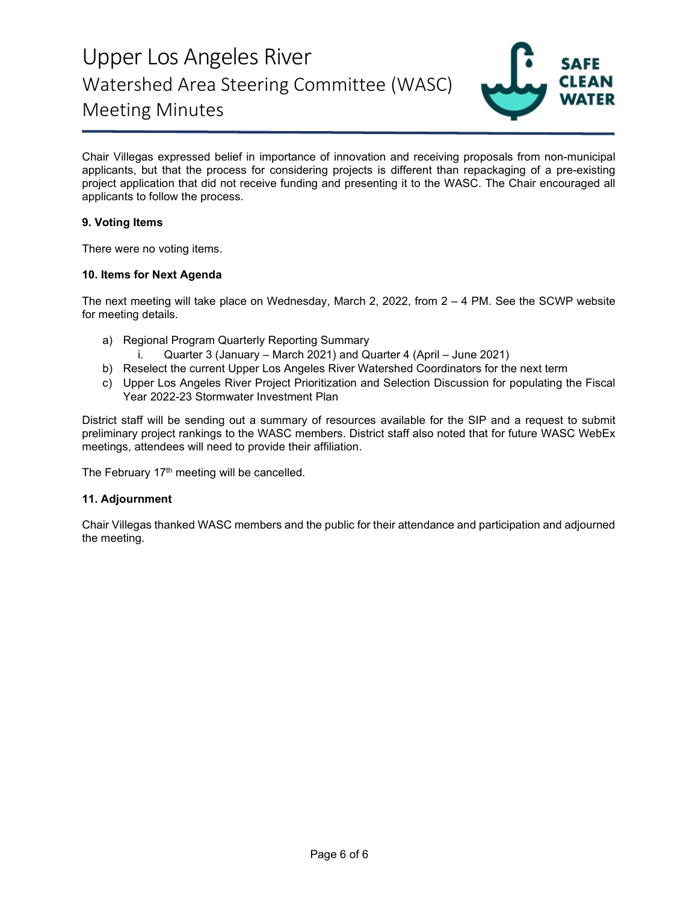

Chair Villegas expressed belief in importance of innovation and receiving proposals from non-municipal applicants, but that the process for considering projects is different than repackaging of a pre-existing project application that did not receive funding and presenting it to the WASC. The Chair encouraged all applicants to follow the process.

### **9. Voting Items**

There were no voting items.

#### **10. Items for Next Agenda**

The next meeting will take place on Wednesday, March 2, 2022, from 2 – 4 PM. See the SCWP website for meeting details.

- a) Regional Program Quarterly Reporting Summary
	- i. Quarter 3 (January March 2021) and Quarter 4 (April June 2021)
- b) Reselect the current Upper Los Angeles River Watershed Coordinators for the next term
- c) Upper Los Angeles River Project Prioritization and Selection Discussion for populating the Fiscal Year 2022-23 Stormwater Investment Plan

District staff will be sending out a summary of resources available for the SIP and a request to submit preliminary project rankings to the WASC members. District staff also noted that for future WASC WebEx meetings, attendees will need to provide their affiliation.

The February 17<sup>th</sup> meeting will be cancelled.

#### **11. Adjournment**

Chair Villegas thanked WASC members and the public for their attendance and participation and adjourned the meeting.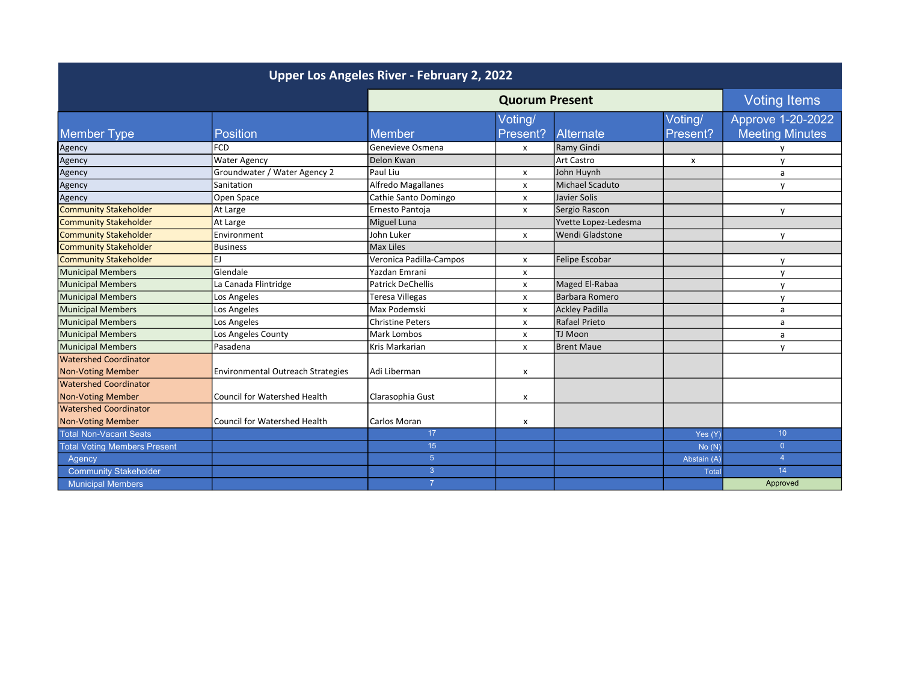| Upper Los Angeles River - February 2, 2022 |                                          |                          |          |                        |                     |                        |
|--------------------------------------------|------------------------------------------|--------------------------|----------|------------------------|---------------------|------------------------|
|                                            |                                          | <b>Quorum Present</b>    |          |                        | <b>Voting Items</b> |                        |
|                                            |                                          |                          | Voting/  |                        | Voting/             | Approve 1-20-2022      |
| <b>Member Type</b>                         | <b>Position</b>                          | <b>Member</b>            | Present? | Alternate              | Present?            | <b>Meeting Minutes</b> |
| Agency                                     | <b>FCD</b>                               | Genevieve Osmena         | X        | Ramy Gindi             |                     |                        |
| Agency                                     | <b>Water Agency</b>                      | Delon Kwan               |          | <b>Art Castro</b>      | x                   | $\mathsf{v}$           |
| Agency                                     | Groundwater / Water Agency 2             | Paul Liu                 | x        | John Huynh             |                     | a                      |
| Agency                                     | Sanitation                               | Alfredo Magallanes       | x        | <b>Michael Scaduto</b> |                     | $\mathbf v$            |
| Agency                                     | Open Space                               | Cathie Santo Domingo     | x        | Javier Solis           |                     |                        |
| <b>Community Stakeholder</b>               | At Large                                 | Ernesto Pantoja          | х        | Sergio Rascon          |                     | y                      |
| <b>Community Stakeholder</b>               | At Large                                 | Miguel Luna              |          | Yvette Lopez-Ledesma   |                     |                        |
| <b>Community Stakeholder</b>               | Environment                              | John Luker               | x        | Wendi Gladstone        |                     | V                      |
| <b>Community Stakeholder</b>               | <b>Business</b>                          | Max Liles                |          |                        |                     |                        |
| Community Stakeholder                      | EJ                                       | Veronica Padilla-Campos  | x        | Felipe Escobar         |                     | $\mathsf{v}$           |
| Municipal Members                          | Glendale                                 | Yazdan Emrani            | x        |                        |                     | $\mathsf{v}$           |
| Municipal Members                          | La Canada Flintridge                     | <b>Patrick DeChellis</b> | x        | Maged El-Rabaa         |                     | $\mathsf{v}$           |
| Municipal Members                          | Los Angeles                              | <b>Teresa Villegas</b>   | x        | Barbara Romero         |                     | $\mathsf{v}$           |
| Municipal Members                          | Los Angeles                              | Max Podemski             | x        | <b>Ackley Padilla</b>  |                     | a                      |
| Municipal Members                          | Los Angeles                              | <b>Christine Peters</b>  | x        | <b>Rafael Prieto</b>   |                     | a                      |
| Municipal Members                          | Los Angeles County                       | <b>Mark Lombos</b>       | x        | TJ Moon                |                     | a                      |
| Municipal Members                          | Pasadena                                 | Kris Markarian           | x        | <b>Brent Maue</b>      |                     | $\mathsf{v}$           |
| Watershed Coordinator                      |                                          |                          |          |                        |                     |                        |
| <b>Non-Voting Member</b>                   | <b>Environmental Outreach Strategies</b> | Adi Liberman             | x        |                        |                     |                        |
| Watershed Coordinator                      |                                          |                          |          |                        |                     |                        |
| <b>Non-Voting Member</b>                   | Council for Watershed Health             | Clarasophia Gust         | x        |                        |                     |                        |
| Watershed Coordinator                      |                                          |                          |          |                        |                     |                        |
| <b>Non-Voting Member</b>                   | Council for Watershed Health             | Carlos Moran             | x        |                        |                     |                        |
| <b>Total Non-Vacant Seats</b>              |                                          | 17                       |          |                        | Yes (Y)             | 10 <sup>1</sup>        |
| <b>Total Voting Members Present</b>        |                                          | 15 <sub>15</sub>         |          |                        | No(N)               | $\overline{0}$         |
| Agency                                     |                                          | $\overline{5}$           |          |                        | Abstain (A)         | $\overline{4}$         |
| <b>Community Stakeholder</b>               |                                          | 3                        |          |                        | <b>Total</b>        | 14                     |
| <b>Municipal Members</b>                   |                                          | $\overline{7}$           |          |                        |                     | Approved               |